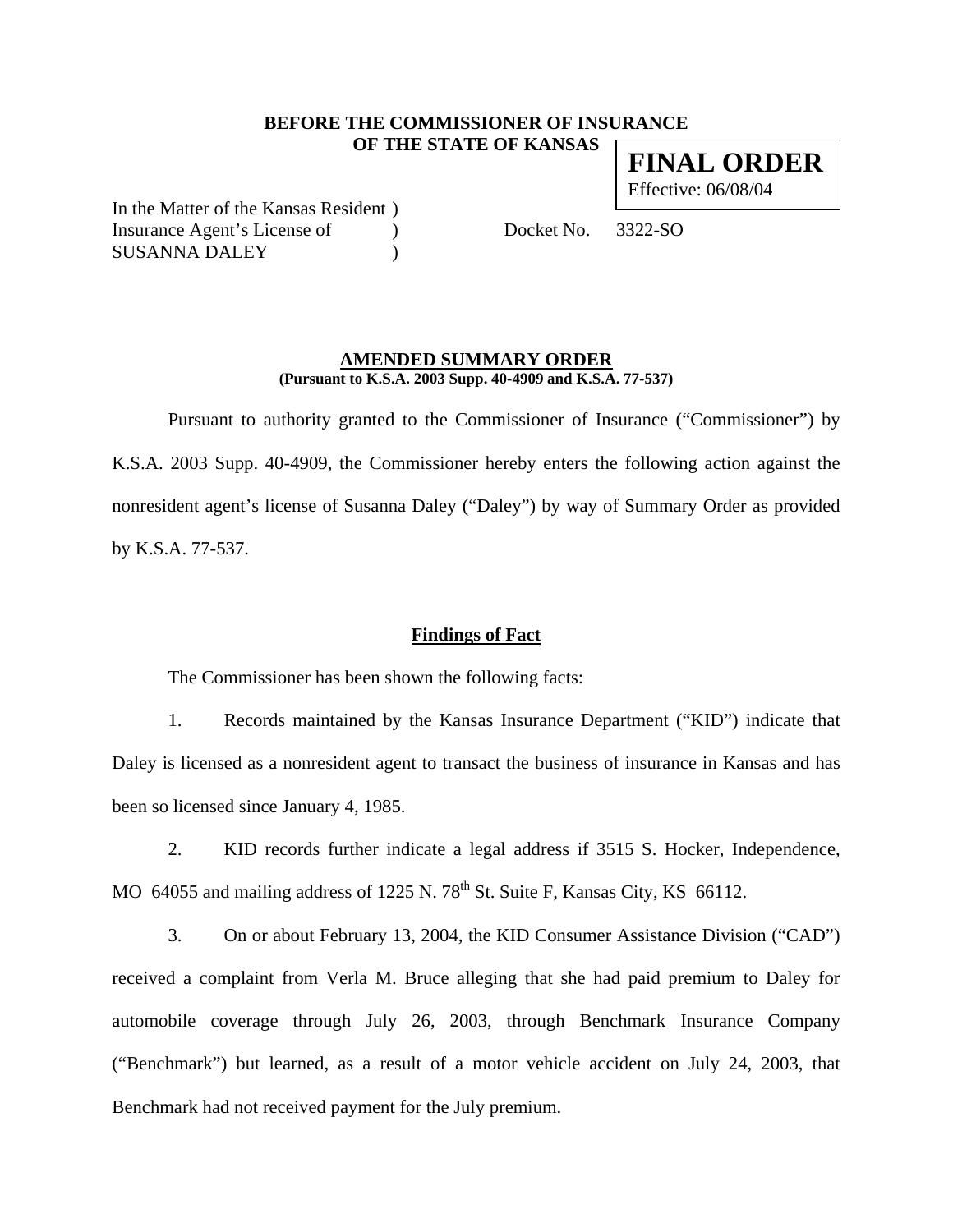## **BEFORE THE COMMISSIONER OF INSURANCE OF THE STATE OF KANSAS**

**FINAL ORDER** Effective: 06/08/04

In the Matter of the Kansas Resident ) Insurance Agent's License of (a) Docket No. 3322-SO SUSANNA DALEY (1992)

## **AMENDED SUMMARY ORDER**

**(Pursuant to K.S.A. 2003 Supp. 40-4909 and K.S.A. 77-537)** 

 Pursuant to authority granted to the Commissioner of Insurance ("Commissioner") by K.S.A. 2003 Supp. 40-4909, the Commissioner hereby enters the following action against the nonresident agent's license of Susanna Daley ("Daley") by way of Summary Order as provided by K.S.A. 77-537.

### **Findings of Fact**

The Commissioner has been shown the following facts:

1. Records maintained by the Kansas Insurance Department ("KID") indicate that Daley is licensed as a nonresident agent to transact the business of insurance in Kansas and has been so licensed since January 4, 1985.

2. KID records further indicate a legal address if 3515 S. Hocker, Independence, MO 64055 and mailing address of 1225 N.  $78<sup>th</sup>$  St. Suite F, Kansas City, KS 66112.

3. On or about February 13, 2004, the KID Consumer Assistance Division ("CAD") received a complaint from Verla M. Bruce alleging that she had paid premium to Daley for automobile coverage through July 26, 2003, through Benchmark Insurance Company ("Benchmark") but learned, as a result of a motor vehicle accident on July 24, 2003, that Benchmark had not received payment for the July premium.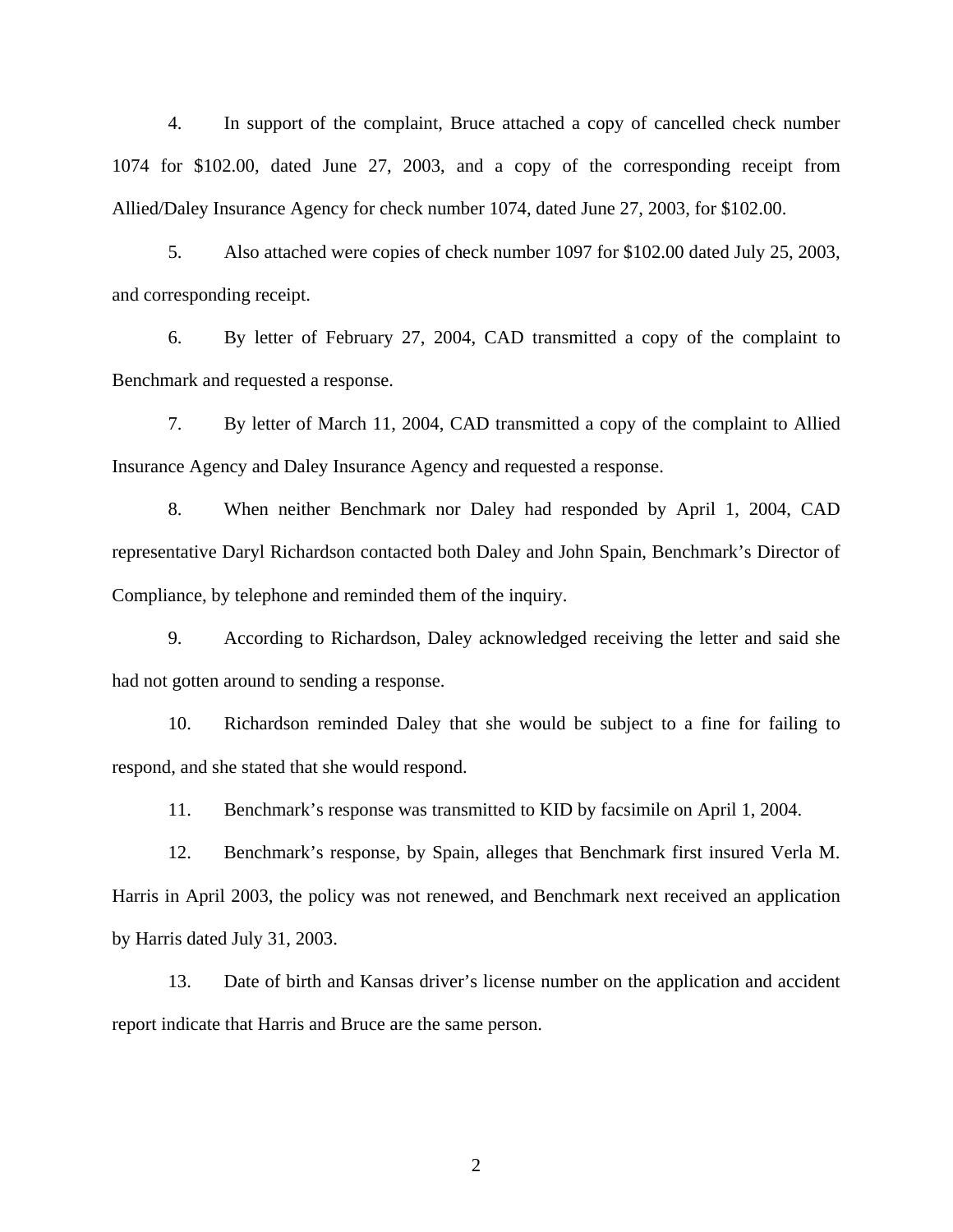4. In support of the complaint, Bruce attached a copy of cancelled check number 1074 for \$102.00, dated June 27, 2003, and a copy of the corresponding receipt from Allied/Daley Insurance Agency for check number 1074, dated June 27, 2003, for \$102.00.

5. Also attached were copies of check number 1097 for \$102.00 dated July 25, 2003, and corresponding receipt.

6. By letter of February 27, 2004, CAD transmitted a copy of the complaint to Benchmark and requested a response.

7. By letter of March 11, 2004, CAD transmitted a copy of the complaint to Allied Insurance Agency and Daley Insurance Agency and requested a response.

8. When neither Benchmark nor Daley had responded by April 1, 2004, CAD representative Daryl Richardson contacted both Daley and John Spain, Benchmark's Director of Compliance, by telephone and reminded them of the inquiry.

9. According to Richardson, Daley acknowledged receiving the letter and said she had not gotten around to sending a response.

10. Richardson reminded Daley that she would be subject to a fine for failing to respond, and she stated that she would respond.

11. Benchmark's response was transmitted to KID by facsimile on April 1, 2004.

12. Benchmark's response, by Spain, alleges that Benchmark first insured Verla M. Harris in April 2003, the policy was not renewed, and Benchmark next received an application by Harris dated July 31, 2003.

13. Date of birth and Kansas driver's license number on the application and accident report indicate that Harris and Bruce are the same person.

2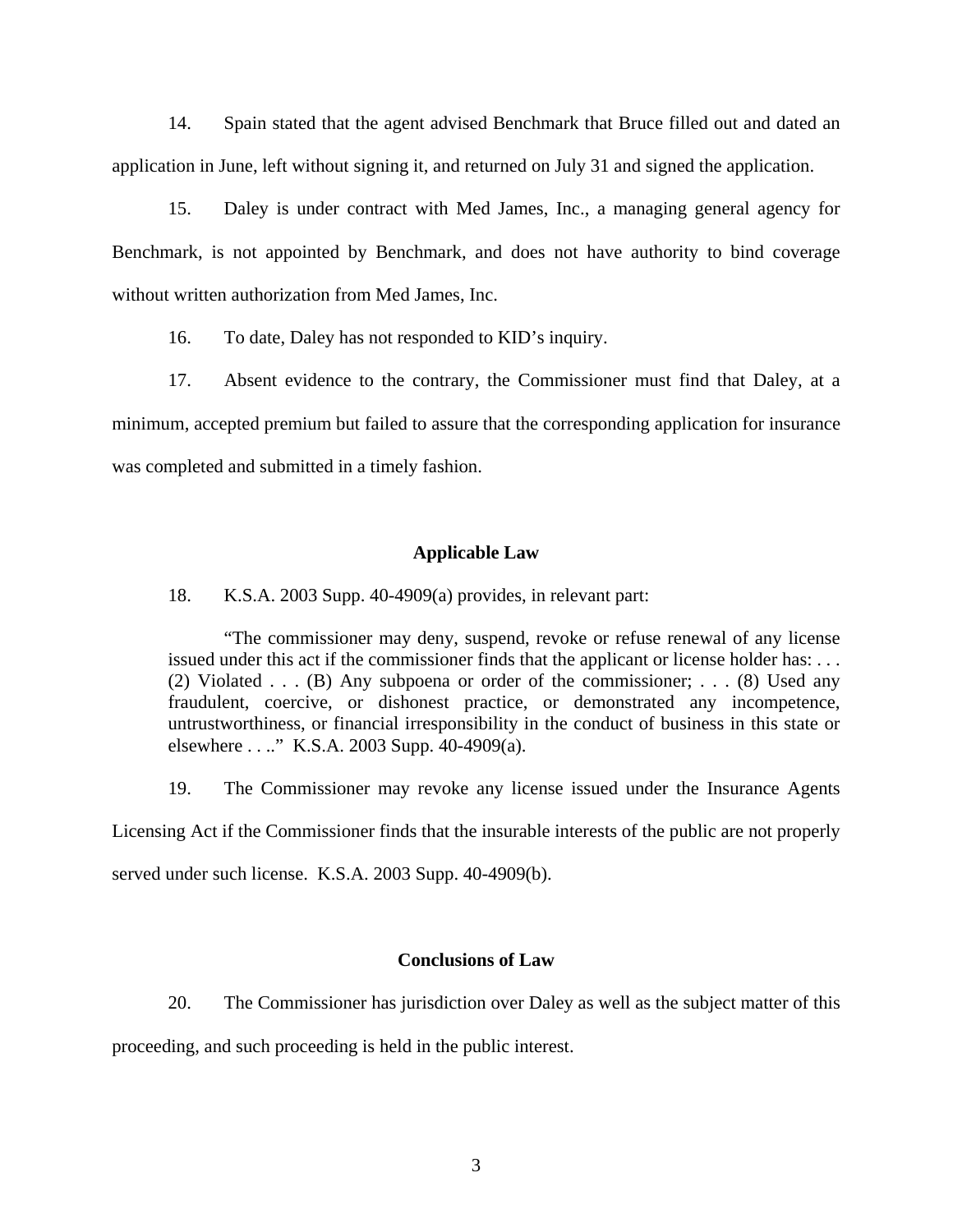14. Spain stated that the agent advised Benchmark that Bruce filled out and dated an application in June, left without signing it, and returned on July 31 and signed the application.

15. Daley is under contract with Med James, Inc., a managing general agency for Benchmark, is not appointed by Benchmark, and does not have authority to bind coverage without written authorization from Med James, Inc.

16. To date, Daley has not responded to KID's inquiry.

17. Absent evidence to the contrary, the Commissioner must find that Daley, at a minimum, accepted premium but failed to assure that the corresponding application for insurance was completed and submitted in a timely fashion.

#### **Applicable Law**

18. K.S.A. 2003 Supp. 40-4909(a) provides, in relevant part:

"The commissioner may deny, suspend, revoke or refuse renewal of any license issued under this act if the commissioner finds that the applicant or license holder has: . . . (2) Violated . . . (B) Any subpoena or order of the commissioner; . . . (8) Used any fraudulent, coercive, or dishonest practice, or demonstrated any incompetence, untrustworthiness, or financial irresponsibility in the conduct of business in this state or elsewhere . . .." K.S.A. 2003 Supp. 40-4909(a).

19. The Commissioner may revoke any license issued under the Insurance Agents Licensing Act if the Commissioner finds that the insurable interests of the public are not properly served under such license. K.S.A. 2003 Supp. 40-4909(b).

## **Conclusions of Law**

20. The Commissioner has jurisdiction over Daley as well as the subject matter of this proceeding, and such proceeding is held in the public interest.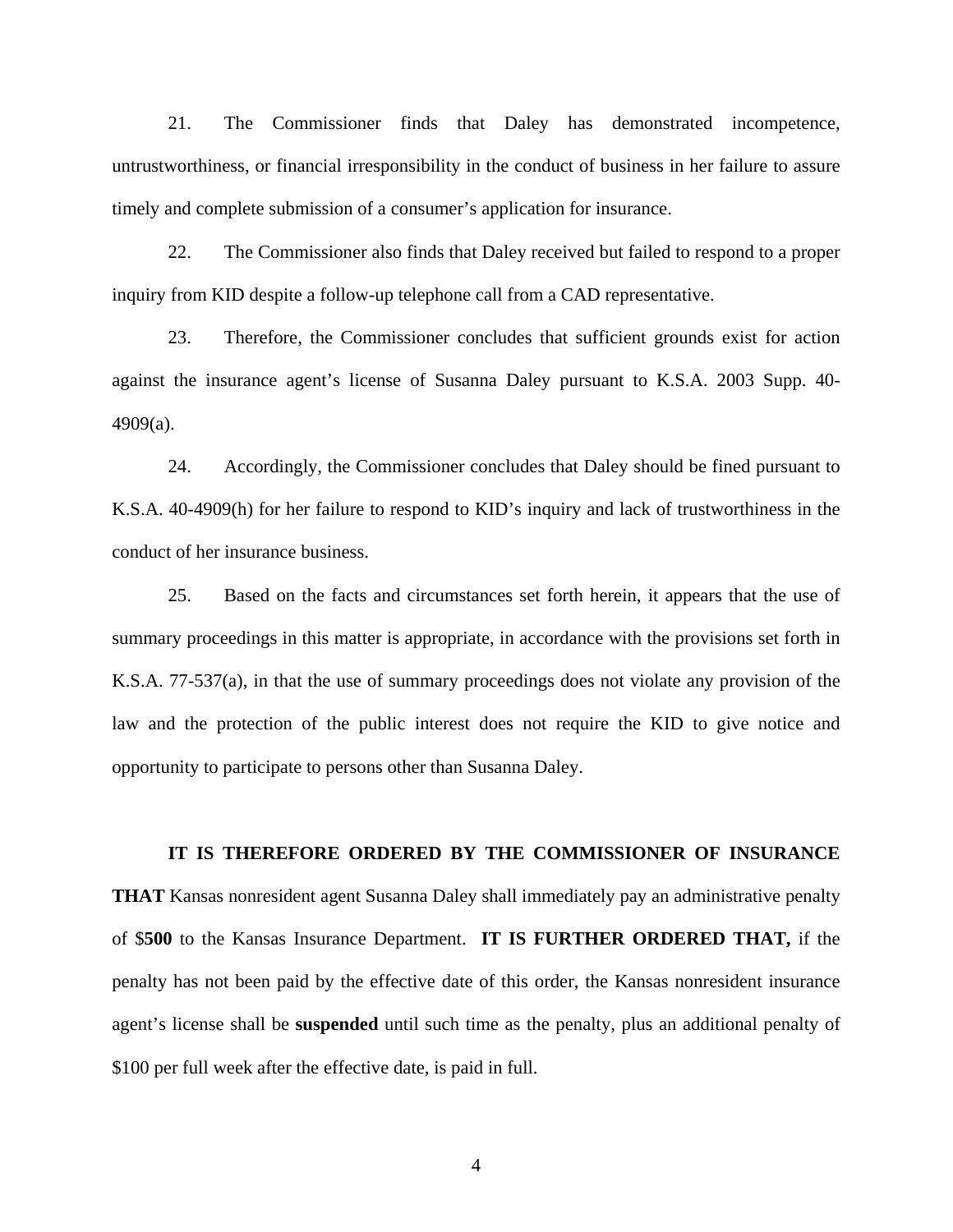21. The Commissioner finds that Daley has demonstrated incompetence, untrustworthiness, or financial irresponsibility in the conduct of business in her failure to assure timely and complete submission of a consumer's application for insurance.

22. The Commissioner also finds that Daley received but failed to respond to a proper inquiry from KID despite a follow-up telephone call from a CAD representative.

23. Therefore, the Commissioner concludes that sufficient grounds exist for action against the insurance agent's license of Susanna Daley pursuant to K.S.A. 2003 Supp. 40- 4909(a).

24. Accordingly, the Commissioner concludes that Daley should be fined pursuant to K.S.A. 40-4909(h) for her failure to respond to KID's inquiry and lack of trustworthiness in the conduct of her insurance business.

25. Based on the facts and circumstances set forth herein, it appears that the use of summary proceedings in this matter is appropriate, in accordance with the provisions set forth in K.S.A. 77-537(a), in that the use of summary proceedings does not violate any provision of the law and the protection of the public interest does not require the KID to give notice and opportunity to participate to persons other than Susanna Daley.

#### **IT IS THEREFORE ORDERED BY THE COMMISSIONER OF INSURANCE**

**THAT** Kansas nonresident agent Susanna Daley shall immediately pay an administrative penalty of \$**500** to the Kansas Insurance Department. **IT IS FURTHER ORDERED THAT,** if the penalty has not been paid by the effective date of this order, the Kansas nonresident insurance agent's license shall be **suspended** until such time as the penalty, plus an additional penalty of \$100 per full week after the effective date, is paid in full.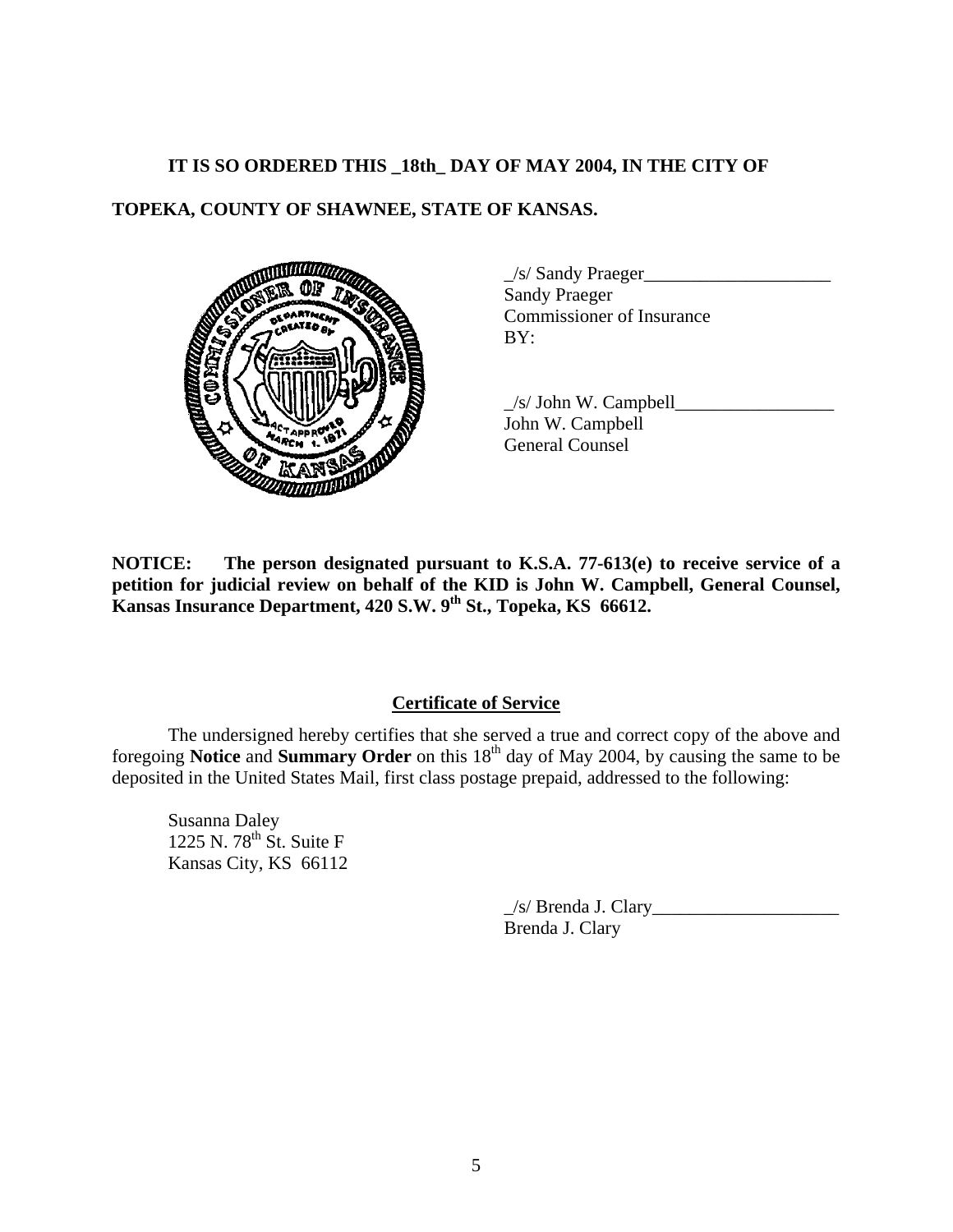# **IT IS SO ORDERED THIS \_18th\_ DAY OF MAY 2004, IN THE CITY OF**

# **TOPEKA, COUNTY OF SHAWNEE, STATE OF KANSAS.**



 \_/s/ Sandy Praeger\_\_\_\_\_\_\_\_\_\_\_\_\_\_\_\_\_\_\_\_ Sandy Praeger Commissioner of Insurance

 $\angle$ s/ John W. Campbell $\Box$ John W. Campbell General Counsel

**NOTICE: The person designated pursuant to K.S.A. 77-613(e) to receive service of a petition for judicial review on behalf of the KID is John W. Campbell, General Counsel,**  Kansas Insurance Department, 420 S.W. 9<sup>th</sup> St., Topeka, KS 66612.

# **Certificate of Service**

 The undersigned hereby certifies that she served a true and correct copy of the above and foregoing **Notice** and **Summary Order** on this 18<sup>th</sup> day of May 2004, by causing the same to be deposited in the United States Mail, first class postage prepaid, addressed to the following:

Susanna Daley 1225 N. 78<sup>th</sup> St. Suite F Kansas City, KS 66112

> $\angle$ s/ Brenda J. Clary $\angle$ Brenda J. Clary